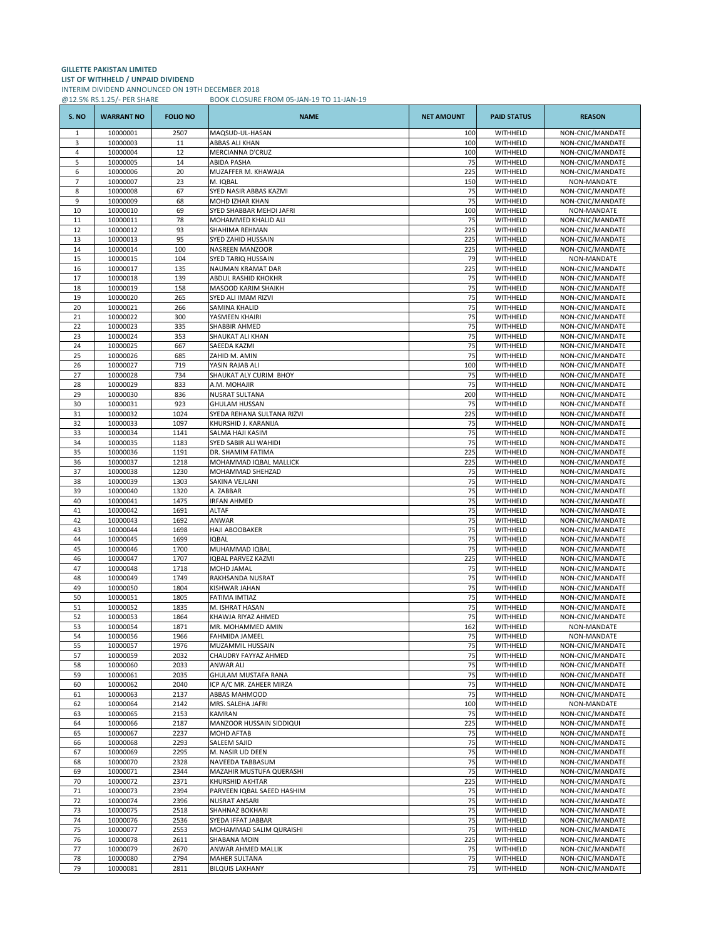## **GILLETTE PAKISTAN LIMITED LIST OF WITHHELD / UNPAID DIVIDEND** INTERIM DIVIDEND ANNOUNCED ON 19TH DECEMBER 2018 @12.5% RS.1.25/- PER SHARE BOOK CLOSURE FROM 05-JAN-19 TO 11-JAN-19

| S. NO          | <b>WARRANT NO</b>    | <b>FOLIO NO</b> | <b>NAME</b>                                    | <b>NET AMOUNT</b> | <b>PAID STATUS</b>   | <b>REASON</b>                        |
|----------------|----------------------|-----------------|------------------------------------------------|-------------------|----------------------|--------------------------------------|
| $\mathbf{1}$   | 10000001             | 2507            | MAQSUD-UL-HASAN                                | 100               | WITHHELD             | NON-CNIC/MANDATE                     |
| 3              | 10000003             | 11              | ABBAS ALI KHAN                                 | 100               | WITHHELD             | NON-CNIC/MANDATE                     |
| 4              | 10000004             | 12              | MERCIANNA D'CRUZ                               | 100               | WITHHELD             | NON-CNIC/MANDATE                     |
| 5<br>6         | 10000005             | 14<br>20        | ABIDA PASHA<br>MUZAFFER M. KHAWAJA             | 75<br>225         | WITHHELD<br>WITHHELD | NON-CNIC/MANDATE<br>NON-CNIC/MANDATE |
| $\overline{7}$ | 10000006<br>10000007 | 23              | M. IQBAL                                       | 150               | WITHHELD             | NON-MANDATE                          |
| 8              | 10000008             | 67              | SYED NASIR ABBAS KAZMI                         | 75                | WITHHELD             | NON-CNIC/MANDATE                     |
| 9              | 10000009             | 68              | MOHD IZHAR KHAN                                | 75                | WITHHELD             | NON-CNIC/MANDATE                     |
| 10             | 10000010             | 69              | SYED SHABBAR MEHDI JAFRI                       | 100               | WITHHELD             | NON-MANDATE                          |
| 11             | 10000011             | 78              | MOHAMMED KHALID ALI                            | 75                | WITHHELD             | NON-CNIC/MANDATE                     |
| 12             | 10000012             | 93              | SHAHIMA REHMAN                                 | 225               | WITHHELD             | NON-CNIC/MANDATE                     |
| 13             | 10000013             | 95              | SYED ZAHID HUSSAIN                             | 225               | WITHHELD             | NON-CNIC/MANDATE                     |
| 14<br>15       | 10000014<br>10000015 | 100<br>104      | NASREEN MANZOOR<br>SYED TARIQ HUSSAIN          | 225<br>79         | WITHHELD<br>WITHHELD | NON-CNIC/MANDATE<br>NON-MANDATE      |
| 16             | 10000017             | 135             | NAUMAN KRAMAT DAR                              | 225               | WITHHELD             | NON-CNIC/MANDATE                     |
| 17             | 10000018             | 139             | ABDUL RASHID KHOKHR                            | 75                | WITHHELD             | NON-CNIC/MANDATE                     |
| 18             | 10000019             | 158             | MASOOD KARIM SHAIKH                            | 75                | WITHHELD             | NON-CNIC/MANDATE                     |
| 19             | 10000020             | 265             | SYED ALI IMAM RIZVI                            | 75                | WITHHELD             | NON-CNIC/MANDATE                     |
| 20             | 10000021             | 266             | SAMINA KHALID                                  | 75                | WITHHELD             | NON-CNIC/MANDATE                     |
| 21             | 10000022             | 300             | YASMEEN KHAIRI                                 | 75                | WITHHELD             | NON-CNIC/MANDATE                     |
| 22             | 10000023             | 335             | SHABBIR AHMED                                  | 75                | WITHHELD             | NON-CNIC/MANDATE                     |
| 23<br>24       | 10000024<br>10000025 | 353<br>667      | SHAUKAT ALI KHAN<br>SAEEDA KAZMI               | 75<br>75          | WITHHELD<br>WITHHELD | NON-CNIC/MANDATE<br>NON-CNIC/MANDATE |
| 25             | 10000026             | 685             | ZAHID M. AMIN                                  | 75                | WITHHELD             | NON-CNIC/MANDATE                     |
| 26             | 10000027             | 719             | YASIN RAJAB ALI                                | 100               | WITHHELD             | NON-CNIC/MANDATE                     |
| 27             | 10000028             | 734             | SHAUKAT ALY CURIM BHOY                         | 75                | WITHHELD             | NON-CNIC/MANDATE                     |
| 28             | 10000029             | 833             | A.M. MOHAJIR                                   | 75                | WITHHELD             | NON-CNIC/MANDATE                     |
| 29             | 10000030             | 836             | NUSRAT SULTANA                                 | 200               | WITHHELD             | NON-CNIC/MANDATE                     |
| 30             | 10000031             | 923             | <b>GHULAM HUSSAN</b>                           | 75                | WITHHELD             | NON-CNIC/MANDATE                     |
| 31             | 10000032             | 1024            | SYEDA REHANA SULTANA RIZVI                     | 225               | WITHHELD             | NON-CNIC/MANDATE                     |
| 32             | 10000033             | 1097            | KHURSHID J. KARANIJA                           | 75                | WITHHELD             | NON-CNIC/MANDATE                     |
| 33<br>34       | 10000034             | 1141<br>1183    | SALMA HAJI KASIM                               | 75<br>75          | WITHHELD<br>WITHHELD | NON-CNIC/MANDATE<br>NON-CNIC/MANDATE |
| 35             | 10000035<br>10000036 | 1191            | SYED SABIR ALI WAHIDI<br>DR. SHAMIM FATIMA     | 225               | WITHHELD             | NON-CNIC/MANDATE                     |
| 36             | 10000037             | 1218            | MOHAMMAD IQBAL MALLICK                         | 225               | WITHHELD             | NON-CNIC/MANDATE                     |
| 37             | 10000038             | 1230            | MOHAMMAD SHEHZAD                               | 75                | WITHHELD             | NON-CNIC/MANDATE                     |
| 38             | 10000039             | 1303            | SAKINA VEJLANI                                 | 75                | WITHHELD             | NON-CNIC/MANDATE                     |
| 39             | 10000040             | 1320            | A. ZABBAR                                      | 75                | WITHHELD             | NON-CNIC/MANDATE                     |
| 40             | 10000041             | 1475            | <b>IRFAN AHMED</b>                             | 75                | WITHHELD             | NON-CNIC/MANDATE                     |
| 41             | 10000042             | 1691            | <b>ALTAF</b>                                   | 75                | WITHHELD             | NON-CNIC/MANDATE                     |
| 42<br>43       | 10000043<br>10000044 | 1692<br>1698    | ANWAR<br>HAJI ABOOBAKER                        | 75<br>75          | WITHHELD<br>WITHHELD | NON-CNIC/MANDATE<br>NON-CNIC/MANDATE |
| 44             | 10000045             | 1699            | <b>IQBAL</b>                                   | 75                | WITHHELD             | NON-CNIC/MANDATE                     |
| 45             | 10000046             | 1700            | MUHAMMAD IQBAL                                 | 75                | WITHHELD             | NON-CNIC/MANDATE                     |
| 46             | 10000047             | 1707            | IQBAL PARVEZ KAZMI                             | 225               | WITHHELD             | NON-CNIC/MANDATE                     |
| 47             | 10000048             | 1718            | MOHD JAMAL                                     | 75                | WITHHELD             | NON-CNIC/MANDATE                     |
| 48             | 10000049             | 1749            | RAKHSANDA NUSRAT                               | 75                | WITHHELD             | NON-CNIC/MANDATE                     |
| 49             | 10000050             | 1804            | <b>KISHWAR JAHAN</b>                           | 75                | WITHHELD             | NON-CNIC/MANDATE                     |
| 50             | 10000051             | 1805            | FATIMA IMTIAZ                                  | 75                | WITHHELD             | NON-CNIC/MANDATE                     |
| 51<br>52       | 10000052<br>10000053 | 1835<br>1864    | M. ISHRAT HASAN<br>KHAWJA RIYAZ AHMED          | 75<br>75          | WITHHELD<br>WITHHELD | NON-CNIC/MANDATE<br>NON-CNIC/MANDATE |
| 53             | 10000054             | 1871            | MR. MOHAMMED AMIN                              | 162               | WITHHELD             | NON-MANDATE                          |
| 54             | 10000056             | 1966            | <b>FAHMIDA JAMEEL</b>                          | 75                | WITHHELD             | NON-MANDATE                          |
| 55             | 10000057             | 1976            | MUZAMMIL HUSSAIN                               | 75                | WITHHELD             | NON-CNIC/MANDATE                     |
| 57             | 10000059             | 2032            | CHAUDRY FAYYAZ AHMED                           | 75                | WITHHELD             | NON-CNIC/MANDATE                     |
| 58             | 10000060             | 2033            | <b>ANWAR ALI</b>                               | 75                | WITHHELD             | NON-CNIC/MANDATE                     |
| 59             | 10000061             | 2035            | GHULAM MUSTAFA RANA                            | 75                | WITHHELD             | NON-CNIC/MANDATE                     |
| 60             | 10000062             | 2040<br>2137    | ICP A/C MR. ZAHEER MIRZA<br>ABBAS MAHMOOD      | 75<br>75          | WITHHELD             | NON-CNIC/MANDATE                     |
| 61<br>62       | 10000063<br>10000064 | 2142            | MRS. SALEHA JAFRI                              | 100               | WITHHELD<br>WITHHELD | NON-CNIC/MANDATE<br>NON-MANDATE      |
| 63             | 10000065             | 2153            | KAMRAN                                         | 75                | WITHHELD             | NON-CNIC/MANDATE                     |
| 64             | 10000066             | 2187            | MANZOOR HUSSAIN SIDDIQUI                       | 225               | WITHHELD             | NON-CNIC/MANDATE                     |
| 65             | 10000067             | 2237            | MOHD AFTAB                                     | 75                | WITHHELD             | NON-CNIC/MANDATE                     |
| 66             | 10000068             | 2293            | SALEEM SAJID                                   | 75                | WITHHELD             | NON-CNIC/MANDATE                     |
| 67             | 10000069             | 2295            | M. NASIR UD DEEN                               | 75                | WITHHELD             | NON-CNIC/MANDATE                     |
| 68             | 10000070             | 2328            | NAVEEDA TABBASUM                               | 75                | WITHHELD             | NON-CNIC/MANDATE                     |
| 69             | 10000071             | 2344            | MAZAHIR MUSTUFA QUERASHI<br>KHURSHID AKHTAR    | 75                | WITHHELD<br>WITHHELD | NON-CNIC/MANDATE                     |
| 70<br>71       | 10000072<br>10000073 | 2371<br>2394    | PARVEEN IQBAL SAEED HASHIM                     | 225<br>75         | WITHHELD             | NON-CNIC/MANDATE<br>NON-CNIC/MANDATE |
| 72             | 10000074             | 2396            | <b>NUSRAT ANSARI</b>                           | 75                | WITHHELD             | NON-CNIC/MANDATE                     |
| 73             | 10000075             | 2518            | SHAHNAZ BOKHARI                                | 75                | WITHHELD             | NON-CNIC/MANDATE                     |
| 74             | 10000076             | 2536            | SYEDA IFFAT JABBAR                             | 75                | WITHHELD             | NON-CNIC/MANDATE                     |
| 75             | 10000077             | 2553            | MOHAMMAD SALIM QURAISHI                        | 75                | WITHHELD             | NON-CNIC/MANDATE                     |
| 76             | 10000078             | 2611            | SHABANA MOIN                                   | 225               | WITHHELD             | NON-CNIC/MANDATE                     |
| 77             | 10000079             | 2670            | ANWAR AHMED MALLIK                             | 75                | WITHHELD             | NON-CNIC/MANDATE                     |
| 78<br>79       | 10000080<br>10000081 | 2794<br>2811    | <b>MAHER SULTANA</b><br><b>BILQUIS LAKHANY</b> | 75<br>75          | WITHHELD<br>WITHHELD | NON-CNIC/MANDATE<br>NON-CNIC/MANDATE |
|                |                      |                 |                                                |                   |                      |                                      |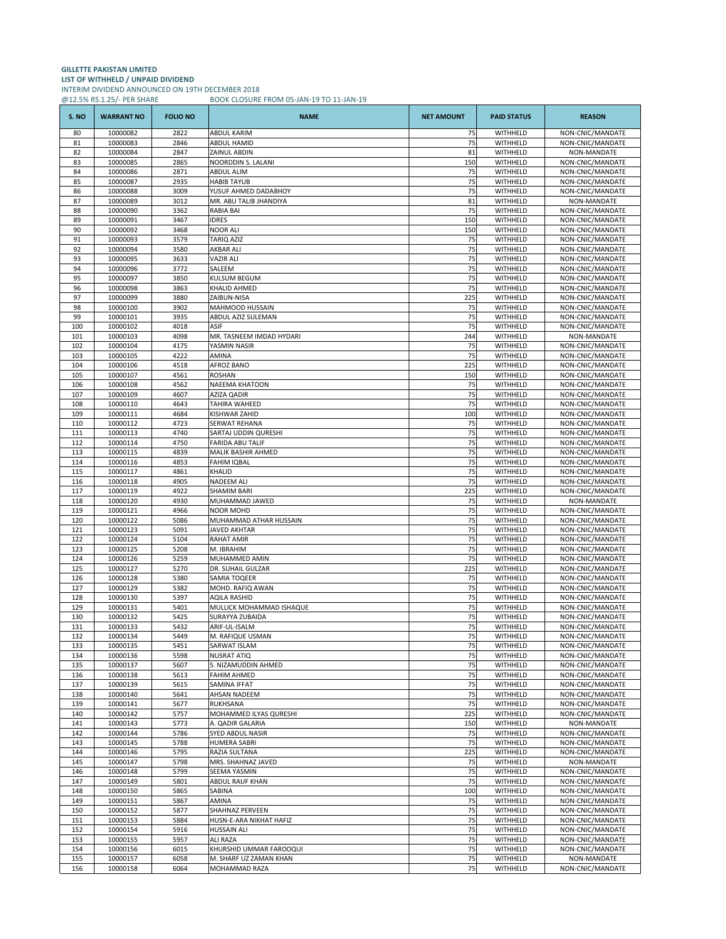## **GILLETTE PAKISTAN LIMITED LIST OF WITHHELD / UNPAID DIVIDEND** INTERIM DIVIDEND ANNOUNCED ON 19TH DECEMBER 2018 @12.5% RS.1.25/- PER SHARE BOOK CLOSURE FROM 05-JAN-19 TO 11-JAN-19

| S. NO      | <b>WARRANT NO</b>    | <b>FOLIO NO</b> | <b>NAME</b>                                       | <b>NET AMOUNT</b> | <b>PAID STATUS</b>   | <b>REASON</b>                        |
|------------|----------------------|-----------------|---------------------------------------------------|-------------------|----------------------|--------------------------------------|
| 80         | 10000082             | 2822            | ABDUL KARIM                                       | 75                | WITHHELD             | NON-CNIC/MANDATE                     |
| 81         | 10000083             | 2846            | ABDUL HAMID                                       | 75                | WITHHELD             | NON-CNIC/MANDATE                     |
| 82         | 10000084             | 2847            | ZAINUL ABDIN                                      | 81                | WITHHELD             | NON-MANDATE                          |
| 83<br>84   | 10000085<br>10000086 | 2865<br>2871    | NOORDDIN S. LALANI<br>ABDUL ALIM                  | 150<br>75         | WITHHELD<br>WITHHELD | NON-CNIC/MANDATE<br>NON-CNIC/MANDATE |
| 85         | 10000087             | 2935            | <b>HABIB TAYUB</b>                                | 75                | WITHHELD             | NON-CNIC/MANDATE                     |
| 86         | 10000088             | 3009            | YUSUF AHMED DADABHOY                              | 75                | WITHHELD             | NON-CNIC/MANDATE                     |
| 87         | 10000089             | 3012            | MR. ABU TALIB JHANDIYA                            | 81                | WITHHELD             | NON-MANDATE                          |
| 88         | 10000090             | 3362            | RABIA BAI                                         | 75                | WITHHELD             | NON-CNIC/MANDATE                     |
| 89         | 10000091             | 3467            | <b>IDRES</b>                                      | 150               | WITHHELD             | NON-CNIC/MANDATE                     |
| 90         | 10000092<br>10000093 | 3468<br>3579    | <b>NOOR ALI</b><br>TARIQ AZIZ                     | 150<br>75         | WITHHELD<br>WITHHELD | NON-CNIC/MANDATE                     |
| 91<br>92   | 10000094             | 3580            | AKBAR ALI                                         | 75                | WITHHELD             | NON-CNIC/MANDATE<br>NON-CNIC/MANDATE |
| 93         | 10000095             | 3633            | <b>VAZIR ALI</b>                                  | 75                | WITHHELD             | NON-CNIC/MANDATE                     |
| 94         | 10000096             | 3772            | SALEEM                                            | 75                | WITHHELD             | NON-CNIC/MANDATE                     |
| 95         | 10000097             | 3850            | KULSUM BEGUM                                      | 75                | WITHHELD             | NON-CNIC/MANDATE                     |
| 96         | 10000098             | 3863            | KHALID AHMED                                      | 75                | WITHHELD             | NON-CNIC/MANDATE                     |
| 97         | 10000099             | 3880            | ZAIBUN-NISA                                       | 225               | WITHHELD             | NON-CNIC/MANDATE                     |
| 98<br>99   | 10000100<br>10000101 | 3902<br>3935    | MAHMOOD HUSSAIN<br>ABDUL AZIZ SULEMAN             | 75<br>75          | WITHHELD<br>WITHHELD | NON-CNIC/MANDATE<br>NON-CNIC/MANDATE |
| 100        | 10000102             | 4018            | ASIF                                              | 75                | WITHHELD             | NON-CNIC/MANDATE                     |
| 101        | 10000103             | 4098            | MR. TASNEEM IMDAD HYDARI                          | 244               | WITHHELD             | NON-MANDATE                          |
| 102        | 10000104             | 4175            | YASMIN NASIR                                      | 75                | WITHHELD             | NON-CNIC/MANDATE                     |
| 103        | 10000105             | 4222            | AMINA                                             | 75                | WITHHELD             | NON-CNIC/MANDATE                     |
| 104        | 10000106             | 4518            | AFROZ BANO                                        | 225               | WITHHELD             | NON-CNIC/MANDATE                     |
| 105<br>106 | 10000107<br>10000108 | 4561<br>4562    | ROSHAN<br>NAEEMA KHATOON                          | 150<br>75         | WITHHELD<br>WITHHELD | NON-CNIC/MANDATE<br>NON-CNIC/MANDATE |
| 107        | 10000109             | 4607            | <b>AZIZA QADIR</b>                                | 75                | WITHHELD             | NON-CNIC/MANDATE                     |
| 108        | 10000110             | 4643            | TAHIRA WAHEED                                     | 75                | WITHHELD             | NON-CNIC/MANDATE                     |
| 109        | 10000111             | 4684            | KISHWAR ZAHID                                     | 100               | WITHHELD             | NON-CNIC/MANDATE                     |
| 110        | 10000112             | 4723            | SERWAT REHANA                                     | 75                | WITHHELD             | NON-CNIC/MANDATE                     |
| 111        | 10000113             | 4740            | SARTAJ UDDIN QURESHI                              | 75                | WITHHELD             | NON-CNIC/MANDATE                     |
| 112<br>113 | 10000114<br>10000115 | 4750<br>4839    | <b>FARIDA ABU TALIF</b><br>MALIK BASHIR AHMED     | 75<br>75          | WITHHELD<br>WITHHELD | NON-CNIC/MANDATE<br>NON-CNIC/MANDATE |
| 114        | 10000116             | 4853            | FAHIM IQBAL                                       | 75                | WITHHELD             | NON-CNIC/MANDATE                     |
| 115        | 10000117             | 4861            | KHALID                                            | 75                | WITHHELD             | NON-CNIC/MANDATE                     |
| 116        | 10000118             | 4905            | <b>NADEEM ALI</b>                                 | 75                | WITHHELD             | NON-CNIC/MANDATE                     |
| 117        | 10000119             | 4922            | SHAMIM BARI                                       | 225               | WITHHELD             | NON-CNIC/MANDATE                     |
| 118        | 10000120             | 4930            | MUHAMMAD JAWED                                    | 75                | WITHHELD             | NON-MANDATE                          |
| 119<br>120 | 10000121<br>10000122 | 4966<br>5086    | NOOR MOHD                                         | 75<br>75          | WITHHELD<br>WITHHELD | NON-CNIC/MANDATE                     |
| 121        | 10000123             | 5091            | MUHAMMAD ATHAR HUSSAIN<br><b>JAVED AKHTAR</b>     | 75                | WITHHELD             | NON-CNIC/MANDATE<br>NON-CNIC/MANDATE |
| 122        | 10000124             | 5104            | RAHAT AMIR                                        | 75                | WITHHELD             | NON-CNIC/MANDATE                     |
| 123        | 10000125             | 5208            | M. IBRAHIM                                        | 75                | WITHHELD             | NON-CNIC/MANDATE                     |
| 124        | 10000126             | 5259            | MUHAMMED AMIN                                     | 75                | WITHHELD             | NON-CNIC/MANDATE                     |
| 125        | 10000127             | 5270            | DR. SUHAIL GULZAR                                 | 225               | WITHHELD             | NON-CNIC/MANDATE                     |
| 126<br>127 | 10000128<br>10000129 | 5380<br>5382    | SAMIA TOQEER<br>MOHD. RAFIQ AWAN                  | 75<br>75          | WITHHELD<br>WITHHELD | NON-CNIC/MANDATE<br>NON-CNIC/MANDATE |
| 128        | 10000130             | 5397            | AQILA RASHID                                      | 75                | WITHHELD             | NON-CNIC/MANDATE                     |
| 129        | 10000131             | 5401            | MULLICK MOHAMMAD ISHAQUE                          | 75                | WITHHELD             | NON-CNIC/MANDATE                     |
| 130        | 10000132             | 5425            | SURAYYA ZUBAIDA                                   | 75                | WITHHELD             | NON-CNIC/MANDATE                     |
| 131        | 10000133             | 5432            | ARIF-UL-ISALM                                     | 75                | WITHHELD             | NON-CNIC/MANDATE                     |
| 132        | 10000134             | 5449            | M. RAFIQUE USMAN                                  | 75                | WITHHELD             | NON-CNIC/MANDATE                     |
| 133<br>134 | 10000135<br>10000136 | 5451<br>5598    | SARWAT ISLAM<br><b>NUSRAT ATIQ</b>                | 75<br>75          | WITHHELD<br>WITHHELD | NON-CNIC/MANDATE<br>NON-CNIC/MANDATE |
| 135        | 10000137             | 5607            | S. NIZAMUDDIN AHMED                               | 75                | WITHHELD             | NON-CNIC/MANDATE                     |
| 136        | 10000138             | 5613            | <b>FAHIM AHMED</b>                                | 75                | WITHHELD             | NON-CNIC/MANDATE                     |
| 137        | 10000139             | 5615            | SAMINA IFFAT                                      | 75                | WITHHELD             | NON-CNIC/MANDATE                     |
| 138        | 10000140             | 5641            | AHSAN NADEEM                                      | 75                | WITHHELD             | NON-CNIC/MANDATE                     |
| 139        | 10000141             | 5677            | RUKHSANA                                          | 75                | WITHHELD             | NON-CNIC/MANDATE                     |
| 140<br>141 | 10000142<br>10000143 | 5757<br>5773    | MOHAMMED ILYAS QURESHI<br>A. QADIR GALARIA        | 225<br>150        | WITHHELD<br>WITHHELD | NON-CNIC/MANDATE<br>NON-MANDATE      |
| 142        | 10000144             | 5786            | SYED ABDUL NASIR                                  | 75                | WITHHELD             | NON-CNIC/MANDATE                     |
| 143        | 10000145             | 5788            | <b>HUMERA SABRI</b>                               | 75                | WITHHELD             | NON-CNIC/MANDATE                     |
| 144        | 10000146             | 5795            | RAZIA SULTANA                                     | 225               | WITHHELD             | NON-CNIC/MANDATE                     |
| 145        | 10000147             | 5798            | MRS. SHAHNAZ JAVED                                | 75                | WITHHELD             | NON-MANDATE                          |
| 146        | 10000148             | 5799            | SEEMA YASMIN                                      | 75                | WITHHELD             | NON-CNIC/MANDATE                     |
| 147<br>148 | 10000149<br>10000150 | 5801<br>5865    | <b>ABDUL RAUF KHAN</b><br>SABINA                  | 75<br>100         | WITHHELD<br>WITHHELD | NON-CNIC/MANDATE<br>NON-CNIC/MANDATE |
| 149        | 10000151             | 5867            | AMINA                                             | 75                | WITHHELD             | NON-CNIC/MANDATE                     |
| 150        | 10000152             | 5877            | SHAHNAZ PERVEEN                                   | 75                | WITHHELD             | NON-CNIC/MANDATE                     |
| 151        | 10000153             | 5884            | HUSN-E-ARA NIKHAT HAFIZ                           | 75                | WITHHELD             | NON-CNIC/MANDATE                     |
| 152        | 10000154             | 5916            | HUSSAIN ALI                                       | 75                | WITHHELD             | NON-CNIC/MANDATE                     |
| 153        | 10000155             | 5957            | ALI RAZA                                          | 75                | WITHHELD             | NON-CNIC/MANDATE                     |
| 154<br>155 | 10000156<br>10000157 | 6015<br>6058    | KHURSHID UMMAR FAROOQUI<br>M. SHARF UZ ZAMAN KHAN | 75<br>75          | WITHHELD<br>WITHHELD | NON-CNIC/MANDATE<br>NON-MANDATE      |
| 156        | 10000158             | 6064            | MOHAMMAD RAZA                                     | 75                | WITHHELD             | NON-CNIC/MANDATE                     |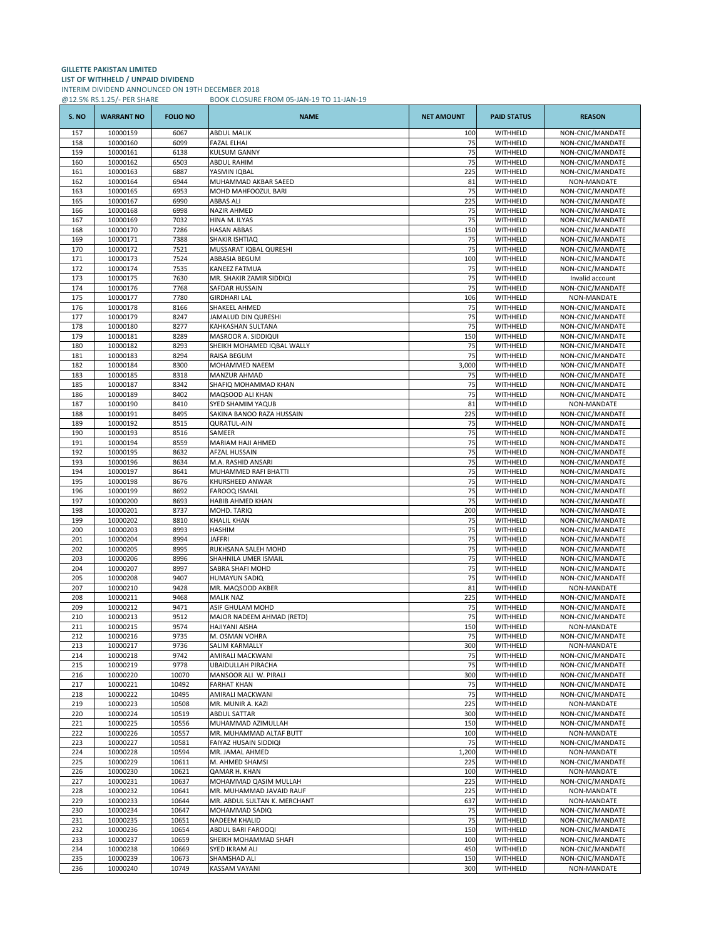# **GILLETTE PAKISTAN LIMITED LIST OF WITHHELD / UNPAID DIVIDEND** INTERIM DIVIDEND ANNOUNCED ON 19TH DECEMBER 2018

@12.5% RS.1.25/- PER SHARE BOOK CLOSURE FROM 05-JAN-19 TO 11-JAN-19

| S. NO      | <b>WARRANT NO</b>    | <b>FOLIO NO</b> | <b>NAME</b>                                       | <b>NET AMOUNT</b> | <b>PAID STATUS</b>   | <b>REASON</b>                        |
|------------|----------------------|-----------------|---------------------------------------------------|-------------------|----------------------|--------------------------------------|
| 157        | 10000159             | 6067            | <b>ABDUL MALIK</b>                                | 100               | WITHHELD             | NON-CNIC/MANDATE                     |
| 158        | 10000160             | 6099            | <b>FAZAL ELHAI</b>                                | 75                | WITHHELD             | NON-CNIC/MANDATE                     |
| 159<br>160 | 10000161<br>10000162 | 6138<br>6503    | KULSUM GANNY<br>ABDUL RAHIM                       | 75<br>75          | WITHHELD<br>WITHHELD | NON-CNIC/MANDATE<br>NON-CNIC/MANDATE |
| 161        | 10000163             | 6887            | YASMIN IQBAL                                      | 225               | WITHHELD             | NON-CNIC/MANDATE                     |
| 162        | 10000164             | 6944            | MUHAMMAD AKBAR SAEED                              | 81                | WITHHELD             | NON-MANDATE                          |
| 163        | 10000165             | 6953            | MOHD MAHFOOZUL BARI                               | 75                | WITHHELD             | NON-CNIC/MANDATE                     |
| 165        | 10000167             | 6990            | ABBAS ALI                                         | 225               | WITHHELD             | NON-CNIC/MANDATE                     |
| 166        | 10000168             | 6998            | NAZIR AHMED                                       | 75                | WITHHELD             | NON-CNIC/MANDATE                     |
| 167<br>168 | 10000169<br>10000170 | 7032<br>7286    | HINA M. ILYAS<br><b>HASAN ABBAS</b>               | 75<br>150         | WITHHELD<br>WITHHELD | NON-CNIC/MANDATE<br>NON-CNIC/MANDATE |
| 169        | 10000171             | 7388            | SHAKIR ISHTIAQ                                    | 75                | WITHHELD             | NON-CNIC/MANDATE                     |
| 170        | 10000172             | 7521            | MUSSARAT IQBAL QURESHI                            | 75                | WITHHELD             | NON-CNIC/MANDATE                     |
| 171        | 10000173             | 7524            | ABBASIA BEGUM                                     | 100               | WITHHELD             | NON-CNIC/MANDATE                     |
| 172        | 10000174             | 7535            | KANEEZ FATMUA                                     | 75                | WITHHELD             | NON-CNIC/MANDATE                     |
| 173        | 10000175             | 7630            | MR. SHAKIR ZAMIR SIDDIQI                          | 75                | WITHHELD             | Invalid account                      |
| 174<br>175 | 10000176<br>10000177 | 7768<br>7780    | SAFDAR HUSSAIN<br>GIRDHARI LAL                    | 75<br>106         | WITHHELD<br>WITHHELD | NON-CNIC/MANDATE<br>NON-MANDATE      |
| 176        | 10000178             | 8166            | SHAKEEL AHMED                                     | 75                | WITHHELD             | NON-CNIC/MANDATE                     |
| 177        | 10000179             | 8247            | JAMALUD DIN QURESHI                               | 75                | WITHHELD             | NON-CNIC/MANDATE                     |
| 178        | 10000180             | 8277            | KAHKASHAN SULTANA                                 | 75                | WITHHELD             | NON-CNIC/MANDATE                     |
| 179        | 10000181             | 8289            | MASROOR A. SIDDIQUI                               | 150               | WITHHELD             | NON-CNIC/MANDATE                     |
| 180        | 10000182             | 8293            | SHEIKH MOHAMED IQBAL WALLY                        | 75                | WITHHELD             | NON-CNIC/MANDATE                     |
| 181        | 10000183             | 8294            | RAISA BEGUM                                       | 75                | WITHHELD             | NON-CNIC/MANDATE                     |
| 182        | 10000184             | 8300            | MOHAMMED NAEEM                                    | 3,000             | WITHHELD             | NON-CNIC/MANDATE                     |
| 183        | 10000185             | 8318            | MANZUR AHMAD                                      | 75                | WITHHELD             | NON-CNIC/MANDATE                     |
| 185<br>186 | 10000187<br>10000189 | 8342<br>8402    | SHAFIQ MOHAMMAD KHAN<br>MAQSOOD ALI KHAN          | 75<br>75          | WITHHELD<br>WITHHELD | NON-CNIC/MANDATE<br>NON-CNIC/MANDATE |
| 187        | 10000190             | 8410            | <b>SYED SHAMIM YAQUB</b>                          | 81                | WITHHELD             | NON-MANDATE                          |
| 188        | 10000191             | 8495            | SAKINA BANOO RAZA HUSSAIN                         | 225               | WITHHELD             | NON-CNIC/MANDATE                     |
| 189        | 10000192             | 8515            | <b>QURATUL-AIN</b>                                | 75                | WITHHELD             | NON-CNIC/MANDATE                     |
| 190        | 10000193             | 8516            | SAMEER                                            | 75                | WITHHELD             | NON-CNIC/MANDATE                     |
| 191        | 10000194             | 8559            | MARIAM HAJI AHMED                                 | 75                | WITHHELD             | NON-CNIC/MANDATE                     |
| 192        | 10000195             | 8632            | AFZAL HUSSAIN                                     | 75                | WITHHELD             | NON-CNIC/MANDATE                     |
| 193        | 10000196             | 8634            | M.A. RASHID ANSARI                                | 75                | WITHHELD             | NON-CNIC/MANDATE                     |
| 194<br>195 | 10000197<br>10000198 | 8641<br>8676    | MUHAMMED RAFI BHATTI<br>KHURSHEED ANWAR           | 75<br>75          | WITHHELD<br>WITHHELD | NON-CNIC/MANDATE<br>NON-CNIC/MANDATE |
| 196        | 10000199             | 8692            | <b>FAROOQ ISMAIL</b>                              | 75                | WITHHELD             | NON-CNIC/MANDATE                     |
| 197        | 10000200             | 8693            | HABIB AHMED KHAN                                  | 75                | WITHHELD             | NON-CNIC/MANDATE                     |
| 198        | 10000201             | 8737            | MOHD. TARIQ                                       | 200               | WITHHELD             | NON-CNIC/MANDATE                     |
| 199        | 10000202             | 8810            | KHALIL KHAN                                       | 75                | WITHHELD             | NON-CNIC/MANDATE                     |
| 200        | 10000203             | 8993            | HASHIM                                            | 75                | WITHHELD             | NON-CNIC/MANDATE                     |
| 201        | 10000204             | 8994            | JAFFRI                                            | 75                | WITHHELD             | NON-CNIC/MANDATE                     |
| 202<br>203 | 10000205<br>10000206 | 8995<br>8996    | RUKHSANA SALEH MOHD<br>SHAHNILA UMER ISMAIL       | 75<br>75          | WITHHELD<br>WITHHELD | NON-CNIC/MANDATE<br>NON-CNIC/MANDATE |
| 204        | 10000207             | 8997            | SABRA SHAFI MOHD                                  | 75                | WITHHELD             | NON-CNIC/MANDATE                     |
| 205        | 10000208             | 9407            | HUMAYUN SADIQ                                     | 75                | WITHHELD             | NON-CNIC/MANDATE                     |
| 207        | 10000210             | 9428            | MR. MAQSOOD AKBER                                 | 81                | WITHHELD             | NON-MANDATE                          |
| 208        | 10000211             | 9468            | <b>MALIK NAZ</b>                                  | 225               | WITHHELD             | NON-CNIC/MANDATE                     |
| 209        | 10000212             | 9471            | ASIF GHULAM MOHD                                  | 75                | WITHHELD             | NON-CNIC/MANDATE                     |
| 210        | 10000213             | 9512            | MAJOR NADEEM AHMAD (RETD)                         | 75                | WITHHELD             | NON-CNIC/MANDATE                     |
| 211        | 10000215             | 9574<br>9735    | HAJIYANI AISHA                                    | 150<br>75         | WITHHELD<br>WITHHELD | NON-MANDATE                          |
| 212<br>213 | 10000216<br>10000217 | 9736            | M. OSMAN VOHRA<br>SALIM KARMALLY                  | 300               | WITHHELD             | NON-CNIC/MANDATE<br>NON-MANDATE      |
| 214        | 10000218             | 9742            | AMIRALI MACKWANI                                  | 75                | WITHHELD             | NON-CNIC/MANDATE                     |
| 215        | 10000219             | 9778            | UBAIDULLAH PIRACHA                                | 75                | WITHHELD             | NON-CNIC/MANDATE                     |
| 216        | 10000220             | 10070           | MANSOOR ALI W. PIRALI                             | 300               | WITHHELD             | NON-CNIC/MANDATE                     |
| 217        | 10000221             | 10492           | <b>FARHAT KHAN</b>                                | 75                | WITHHELD             | NON-CNIC/MANDATE                     |
| 218        | 10000222             | 10495           | AMIRALI MACKWANI                                  | 75                | WITHHELD             | NON-CNIC/MANDATE                     |
| 219<br>220 | 10000223<br>10000224 | 10508<br>10519  | MR. MUNIR A. KAZI<br><b>ABDUL SATTAR</b>          | 225<br>300        | WITHHELD<br>WITHHELD | NON-MANDATE<br>NON-CNIC/MANDATE      |
| 221        | 10000225             | 10556           | MUHAMMAD AZIMULLAH                                | 150               | WITHHELD             | NON-CNIC/MANDATE                     |
| 222        | 10000226             | 10557           | MR. MUHAMMAD ALTAF BUTT                           | 100               | WITHHELD             | NON-MANDATE                          |
| 223        | 10000227             | 10581           | FAIYAZ HUSAIN SIDDIQI                             | 75                | WITHHELD             | NON-CNIC/MANDATE                     |
| 224        | 10000228             | 10594           | MR. JAMAL AHMED                                   | 1,200             | WITHHELD             | NON-MANDATE                          |
| 225        | 10000229             | 10611           | M. AHMED SHAMSI                                   | 225               | WITHHELD             | NON-CNIC/MANDATE                     |
| 226        | 10000230             | 10621           | QAMAR H. KHAN                                     | 100               | WITHHELD             | NON-MANDATE                          |
| 227<br>228 | 10000231<br>10000232 | 10637<br>10641  | MOHAMMAD QASIM MULLAH<br>MR. MUHAMMAD JAVAID RAUF | 225<br>225        | WITHHELD<br>WITHHELD | NON-CNIC/MANDATE<br>NON-MANDATE      |
| 229        | 10000233             | 10644           | MR. ABDUL SULTAN K. MERCHANT                      | 637               | WITHHELD             | NON-MANDATE                          |
| 230        | 10000234             | 10647           | MOHAMMAD SADIQ                                    | 75                | WITHHELD             | NON-CNIC/MANDATE                     |
| 231        | 10000235             | 10651           | NADEEM KHALID                                     | 75                | WITHHELD             | NON-CNIC/MANDATE                     |
| 232        | 10000236             | 10654           | ABDUL BARI FAROOQI                                | 150               | WITHHELD             | NON-CNIC/MANDATE                     |
| 233        | 10000237             | 10659           | SHEIKH MOHAMMAD SHAFI                             | 100               | WITHHELD             | NON-CNIC/MANDATE                     |
| 234        | 10000238             | 10669           | SYED IKRAM ALI                                    | 450               | WITHHELD             | NON-CNIC/MANDATE                     |
| 235        | 10000239             | 10673           | SHAMSHAD ALI                                      | 150               | WITHHELD             | NON-CNIC/MANDATE                     |
| 236        | 10000240             | 10749           | KASSAM VAYANI                                     | 300               | WITHHELD             | NON-MANDATE                          |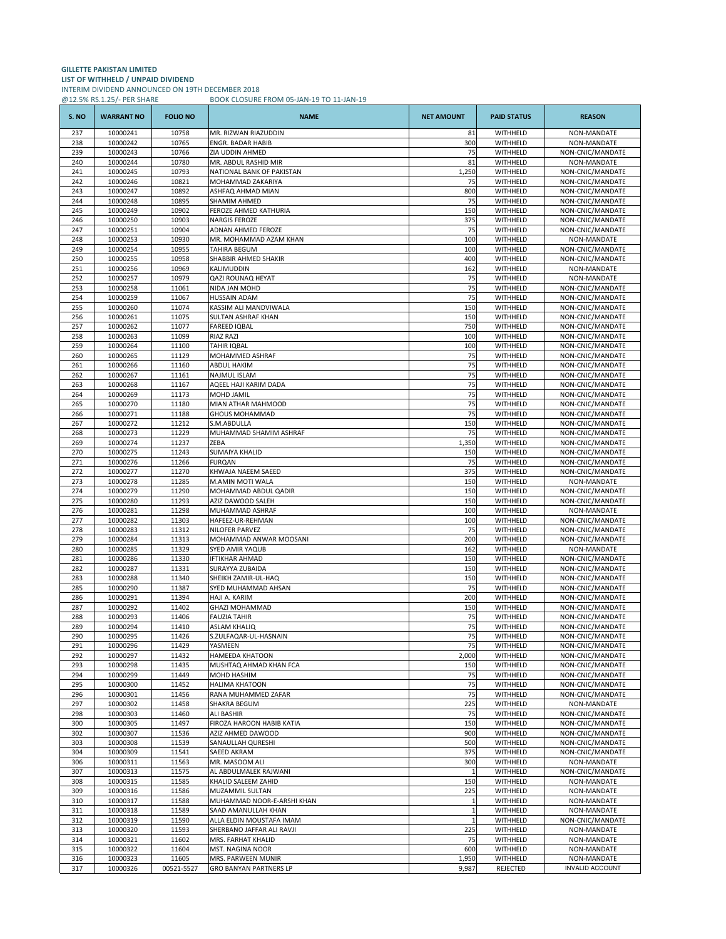## **GILLETTE PAKISTAN LIMITED LIST OF WITHHELD / UNPAID DIVIDEND** INTERIM DIVIDEND ANNOUNCED ON 19TH DECEMBER 2018 @12.5% RS.1.25/- PER SHARE BOOK CLOSURE FROM 05-JAN-19 TO 11-JAN-19

| S.NO       | <b>WARRANT NO</b>    | <b>FOLIO NO</b> | <b>NAME</b>                                       | <b>NET AMOUNT</b> | <b>PAID STATUS</b>   | <b>REASON</b>                        |
|------------|----------------------|-----------------|---------------------------------------------------|-------------------|----------------------|--------------------------------------|
| 237        | 10000241             | 10758           | MR. RIZWAN RIAZUDDIN                              | 81                | WITHHELD             | NON-MANDATE                          |
| 238        | 10000242             | 10765           | ENGR. BADAR HABIB                                 | 300               | WITHHELD             | NON-MANDATE                          |
| 239<br>240 | 10000243             | 10766<br>10780  | ZIA UDDIN AHMED                                   | 75<br>81          | WITHHELD<br>WITHHELD | NON-CNIC/MANDATE<br>NON-MANDATE      |
| 241        | 10000244<br>10000245 | 10793           | MR. ABDUL RASHID MIR<br>NATIONAL BANK OF PAKISTAN | 1,250             | WITHHELD             | NON-CNIC/MANDATE                     |
| 242        | 10000246             | 10821           | MOHAMMAD ZAKARIYA                                 | 75                | WITHHELD             | NON-CNIC/MANDATE                     |
| 243        | 10000247             | 10892           | ASHFAQ AHMAD MIAN                                 | 800               | WITHHELD             | NON-CNIC/MANDATE                     |
| 244        | 10000248             | 10895           | SHAMIM AHMED                                      | 75                | WITHHELD             | NON-CNIC/MANDATE                     |
| 245        | 10000249             | 10902           | FEROZE AHMED KATHURIA                             | 150               | WITHHELD             | NON-CNIC/MANDATE                     |
| 246<br>247 | 10000250<br>10000251 | 10903<br>10904  | <b>NARGIS FEROZE</b><br>ADNAN AHMED FEROZE        | 375<br>75         | WITHHELD<br>WITHHELD | NON-CNIC/MANDATE<br>NON-CNIC/MANDATE |
| 248        | 10000253             | 10930           | MR. MOHAMMAD AZAM KHAN                            | 100               | WITHHELD             | NON-MANDATE                          |
| 249        | 10000254             | 10955           | TAHIRA BEGUM                                      | 100               | WITHHELD             | NON-CNIC/MANDATE                     |
| 250        | 10000255             | 10958           | SHABBIR AHMED SHAKIR                              | 400               | WITHHELD             | NON-CNIC/MANDATE                     |
| 251        | 10000256             | 10969           | KALIMUDDIN                                        | 162               | WITHHELD             | NON-MANDATE                          |
| 252<br>253 | 10000257<br>10000258 | 10979<br>11061  | QAZI ROUNAQ HEYAT<br>NIDA JAN MOHD                | 75<br>75          | WITHHELD<br>WITHHELD | NON-MANDATE<br>NON-CNIC/MANDATE      |
| 254        | 10000259             | 11067           | HUSSAIN ADAM                                      | 75                | WITHHELD             | NON-CNIC/MANDATE                     |
| 255        | 10000260             | 11074           | KASSIM ALI MANDVIWALA                             | 150               | WITHHELD             | NON-CNIC/MANDATE                     |
| 256        | 10000261             | 11075           | SULTAN ASHRAF KHAN                                | 150               | WITHHELD             | NON-CNIC/MANDATE                     |
| 257        | 10000262             | 11077           | <b>FAREED IQBAL</b>                               | 750               | WITHHELD             | NON-CNIC/MANDATE                     |
| 258        | 10000263             | 11099           | <b>RIAZ RAZI</b>                                  | 100               | WITHHELD             | NON-CNIC/MANDATE                     |
| 259<br>260 | 10000264<br>10000265 | 11100<br>11129  | TAHIR IQBAL<br>MOHAMMED ASHRAF                    | 100<br>75         | WITHHELD<br>WITHHELD | NON-CNIC/MANDATE<br>NON-CNIC/MANDATE |
| 261        | 10000266             | 11160           | <b>ABDUL HAKIM</b>                                | 75                | WITHHELD             | NON-CNIC/MANDATE                     |
| 262        | 10000267             | 11161           | <b>NAJMUL ISLAM</b>                               | 75                | WITHHELD             | NON-CNIC/MANDATE                     |
| 263        | 10000268             | 11167           | AQEEL HAJI KARIM DADA                             | 75                | WITHHELD             | NON-CNIC/MANDATE                     |
| 264        | 10000269             | 11173           | <b>MOHD JAMIL</b>                                 | 75                | WITHHELD             | NON-CNIC/MANDATE                     |
| 265        | 10000270             | 11180           | MIAN ATHAR MAHMOOD                                | 75                | WITHHELD             | NON-CNIC/MANDATE                     |
| 266<br>267 | 10000271<br>10000272 | 11188<br>11212  | GHOUS MOHAMMAD<br>S.M.ABDULLA                     | 75<br>150         | WITHHELD<br>WITHHELD | NON-CNIC/MANDATE<br>NON-CNIC/MANDATE |
| 268        | 10000273             | 11229           | MUHAMMAD SHAMIM ASHRAF                            | 75                | WITHHELD             | NON-CNIC/MANDATE                     |
| 269        | 10000274             | 11237           | ZEBA                                              | 1,350             | WITHHELD             | NON-CNIC/MANDATE                     |
| 270        | 10000275             | 11243           | <b>SUMAIYA KHALID</b>                             | 150               | WITHHELD             | NON-CNIC/MANDATE                     |
| 271        | 10000276             | 11266           | <b>FURQAN</b>                                     | 75                | WITHHELD             | NON-CNIC/MANDATE                     |
| 272        | 10000277             | 11270           | KHWAJA NAEEM SAEED                                | 375               | WITHHELD             | NON-CNIC/MANDATE                     |
| 273<br>274 | 10000278<br>10000279 | 11285<br>11290  | M.AMIN MOTI WALA<br>MOHAMMAD ABDUL QADIR          | 150<br>150        | WITHHELD<br>WITHHELD | NON-MANDATE<br>NON-CNIC/MANDATE      |
| 275        | 10000280             | 11293           | AZIZ DAWOOD SALEH                                 | 150               | WITHHELD             | NON-CNIC/MANDATE                     |
| 276        | 10000281             | 11298           | MUHAMMAD ASHRAF                                   | 100               | WITHHELD             | NON-MANDATE                          |
| 277        | 10000282             | 11303           | HAFEEZ-UR-REHMAN                                  | 100               | WITHHELD             | NON-CNIC/MANDATE                     |
| 278        | 10000283             | 11312           | <b>NILOFER PARVEZ</b>                             | 75                | WITHHELD             | NON-CNIC/MANDATE                     |
| 279<br>280 | 10000284<br>10000285 | 11313<br>11329  | MOHAMMAD ANWAR MOOSANI<br><b>SYED AMIR YAQUB</b>  | 200<br>162        | WITHHELD<br>WITHHELD | NON-CNIC/MANDATE<br>NON-MANDATE      |
| 281        | 10000286             | 11330           | <b>IFTIKHAR AHMAD</b>                             | 150               | WITHHELD             | NON-CNIC/MANDATE                     |
| 282        | 10000287             | 11331           | SURAYYA ZUBAIDA                                   | 150               | WITHHELD             | NON-CNIC/MANDATE                     |
| 283        | 10000288             | 11340           | SHEIKH ZAMIR-UL-HAQ                               | 150               | WITHHELD             | NON-CNIC/MANDATE                     |
| 285        | 10000290             | 11387           | SYED MUHAMMAD AHSAN                               | 75                | WITHHELD             | NON-CNIC/MANDATE                     |
| 286<br>287 | 10000291<br>10000292 | 11394<br>11402  | HAJI A. KARIM<br><b>GHAZI MOHAMMAD</b>            | 200<br>150        | WITHHELD<br>WITHHELD | NON-CNIC/MANDATE<br>NON-CNIC/MANDATE |
| 288        | 10000293             | 11406           | <b>FAUZIA TAHIR</b>                               | 75                | WITHHELD             | NON-CNIC/MANDATE                     |
| 289        | 10000294             | 11410           | <b>ASLAM KHALIQ</b>                               | 75                | WITHHELD             | NON-CNIC/MANDATE                     |
| 290        | 10000295             | 11426           | S.ZULFAQAR-UL-HASNAIN                             | 75                | WITHHELD             | NON-CNIC/MANDATE                     |
| 291        | 10000296             | 11429           | YASMEEN                                           | 75                | WITHHELD             | NON-CNIC/MANDATE                     |
| 292        | 10000297<br>10000298 | 11432<br>11435  | <b>HAMEEDA KHATOON</b>                            | 2,000             | WITHHELD<br>WITHHELD | NON-CNIC/MANDATE                     |
| 293<br>294 | 10000299             | 11449           | MUSHTAQ AHMAD KHAN FCA<br>MOHD HASHIM             | 150<br>75         | WITHHELD             | NON-CNIC/MANDATE<br>NON-CNIC/MANDATE |
| 295        | 10000300             | 11452           | <b>HALIMA KHATOON</b>                             | 75                | WITHHELD             | NON-CNIC/MANDATE                     |
| 296        | 10000301             | 11456           | RANA MUHAMMED ZAFAR                               | 75                | WITHHELD             | NON-CNIC/MANDATE                     |
| 297        | 10000302             | 11458           | SHAKRA BEGUM                                      | 225               | WITHHELD             | NON-MANDATE                          |
| 298        | 10000303<br>10000305 | 11460<br>11497  | <b>ALI BASHIR</b>                                 | 75<br>150         | WITHHELD             | NON-CNIC/MANDATE<br>NON-CNIC/MANDATE |
| 300<br>302 | 10000307             | 11536           | FIROZA HAROON HABIB KATIA<br>AZIZ AHMED DAWOOD    | 900               | WITHHELD<br>WITHHELD | NON-CNIC/MANDATE                     |
| 303        | 10000308             | 11539           | SANAULLAH QURESHI                                 | 500               | WITHHELD             | NON-CNIC/MANDATE                     |
| 304        | 10000309             | 11541           | SAEED AKRAM                                       | 375               | WITHHELD             | NON-CNIC/MANDATE                     |
| 306        | 10000311             | 11563           | MR. MASOOM ALI                                    | 300               | WITHHELD             | NON-MANDATE                          |
| 307        | 10000313             | 11575           | AL ABDULMALEK RAJWANI                             | $\mathbf{1}$      | WITHHELD             | NON-CNIC/MANDATE                     |
| 308<br>309 | 10000315<br>10000316 | 11585<br>11586  | KHALID SALEEM ZAHID<br>MUZAMMIL SULTAN            | 150<br>225        | WITHHELD<br>WITHHELD | NON-MANDATE<br>NON-MANDATE           |
| 310        | 10000317             | 11588           | MUHAMMAD NOOR-E-ARSHI KHAN                        | $\mathbf{1}$      | WITHHELD             | NON-MANDATE                          |
| 311        | 10000318             | 11589           | SAAD AMANULLAH KHAN                               | $\mathbf{1}$      | WITHHELD             | NON-MANDATE                          |
| 312        | 10000319             | 11590           | ALLA ELDIN MOUSTAFA IMAM                          | $\mathbf{1}$      | WITHHELD             | NON-CNIC/MANDATE                     |
| 313        | 10000320             | 11593           | SHERBANO JAFFAR ALI RAVJI                         | 225               | WITHHELD             | NON-MANDATE                          |
| 314        | 10000321             | 11602           | MRS. FARHAT KHALID                                | 75                | WITHHELD             | NON-MANDATE                          |
| 315<br>316 | 10000322<br>10000323 | 11604<br>11605  | MST. NAGINA NOOR<br>MRS. PARWEEN MUNIR            | 600<br>1,950      | WITHHELD<br>WITHHELD | NON-MANDATE<br>NON-MANDATE           |
| 317        | 10000326             | 00521-5527      | <b>GRO BANYAN PARTNERS LP</b>                     | 9,987             | REJECTED             | <b>INVALID ACCOUNT</b>               |